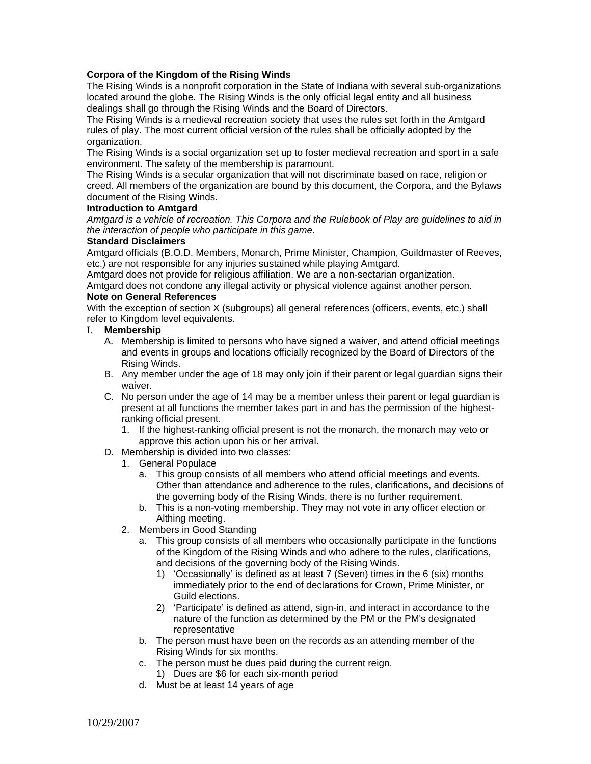## **Corpora of the Kingdom of the Rising Winds**

The Rising Winds is a nonprofit corporation in the State of Indiana with several sub-organizations located around the globe. The Rising Winds is the only official legal entity and all business dealings shall go through the Rising Winds and the Board of Directors.

The Rising Winds is a medieval recreation society that uses the rules set forth in the Amtgard rules of play. The most current official version of the rules shall be officially adopted by the organization.

The Rising Winds is a social organization set up to foster medieval recreation and sport in a safe environment. The safety of the membership is paramount.

The Rising Winds is a secular organization that will not discriminate based on race, religion or creed. All members of the organization are bound by this document, the Corpora, and the Bylaws document of the Rising Winds.

## **Introduction to Amtgard**

*Amtgard is a vehicle of recreation. This Corpora and the Rulebook of Play are guidelines to aid in the interaction of people who participate in this game.* 

#### **Standard Disclaimers**

Amtgard officials (B.O.D. Members, Monarch, Prime Minister, Champion, Guildmaster of Reeves, etc.) are not responsible for any injuries sustained while playing Amtgard.

Amtgard does not provide for religious affiliation. We are a non-sectarian organization.

Amtgard does not condone any illegal activity or physical violence against another person. **Note on General References** 

With the exception of section X (subgroups) all general references (officers, events, etc.) shall refer to Kingdom level equivalents.

#### I. **Membership**

- A. Membership is limited to persons who have signed a waiver, and attend official meetings and events in groups and locations officially recognized by the Board of Directors of the Rising Winds.
- B. Any member under the age of 18 may only join if their parent or legal guardian signs their waiver.
- C. No person under the age of 14 may be a member unless their parent or legal guardian is present at all functions the member takes part in and has the permission of the highestranking official present.
	- 1. If the highest-ranking official present is not the monarch, the monarch may veto or approve this action upon his or her arrival.
- D. Membership is divided into two classes:
	- 1. General Populace
		- a. This group consists of all members who attend official meetings and events. Other than attendance and adherence to the rules, clarifications, and decisions of the governing body of the Rising Winds, there is no further requirement.
		- b. This is a non-voting membership. They may not vote in any officer election or Althing meeting.
	- 2. Members in Good Standing
		- a. This group consists of all members who occasionally participate in the functions of the Kingdom of the Rising Winds and who adhere to the rules, clarifications, and decisions of the governing body of the Rising Winds.
			- 1) 'Occasionally' is defined as at least 7 (Seven) times in the 6 (six) months immediately prior to the end of declarations for Crown, Prime Minister, or Guild elections.
			- 2) 'Participate' is defined as attend, sign-in, and interact in accordance to the nature of the function as determined by the PM or the PM's designated representative
		- b. The person must have been on the records as an attending member of the Rising Winds for six months.
		- c. The person must be dues paid during the current reign.
			- 1) Dues are \$6 for each six-month period
		- d. Must be at least 14 years of age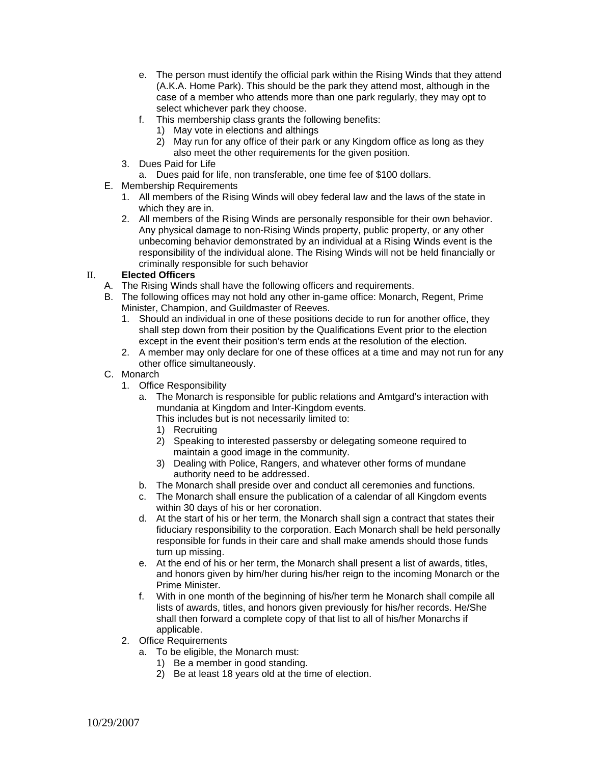- e. The person must identify the official park within the Rising Winds that they attend (A.K.A. Home Park). This should be the park they attend most, although in the case of a member who attends more than one park regularly, they may opt to select whichever park they choose.
- f. This membership class grants the following benefits:
	- 1) May vote in elections and althings
	- 2) May run for any office of their park or any Kingdom office as long as they also meet the other requirements for the given position.
- 3. Dues Paid for Life
- a. Dues paid for life, non transferable, one time fee of \$100 dollars.
- E. Membership Requirements
	- 1. All members of the Rising Winds will obey federal law and the laws of the state in which they are in.
	- 2. All members of the Rising Winds are personally responsible for their own behavior. Any physical damage to non-Rising Winds property, public property, or any other unbecoming behavior demonstrated by an individual at a Rising Winds event is the responsibility of the individual alone. The Rising Winds will not be held financially or criminally responsible for such behavior

## II. **Elected Officers**

- A. The Rising Winds shall have the following officers and requirements.
- B. The following offices may not hold any other in-game office: Monarch, Regent, Prime Minister, Champion, and Guildmaster of Reeves.
	- 1. Should an individual in one of these positions decide to run for another office, they shall step down from their position by the Qualifications Event prior to the election except in the event their position's term ends at the resolution of the election.
	- 2. A member may only declare for one of these offices at a time and may not run for any other office simultaneously.

## C. Monarch

- 1. Office Responsibility
	- a. The Monarch is responsible for public relations and Amtgard's interaction with mundania at Kingdom and Inter-Kingdom events.

This includes but is not necessarily limited to:

- 1) Recruiting
- 2) Speaking to interested passersby or delegating someone required to maintain a good image in the community.
- 3) Dealing with Police, Rangers, and whatever other forms of mundane authority need to be addressed.
- b. The Monarch shall preside over and conduct all ceremonies and functions.
- c. The Monarch shall ensure the publication of a calendar of all Kingdom events within 30 days of his or her coronation.
- d. At the start of his or her term, the Monarch shall sign a contract that states their fiduciary responsibility to the corporation. Each Monarch shall be held personally responsible for funds in their care and shall make amends should those funds turn up missing.
- e. At the end of his or her term, the Monarch shall present a list of awards, titles, and honors given by him/her during his/her reign to the incoming Monarch or the Prime Minister.
- f. With in one month of the beginning of his/her term he Monarch shall compile all lists of awards, titles, and honors given previously for his/her records. He/She shall then forward a complete copy of that list to all of his/her Monarchs if applicable.
- 2. Office Requirements
	- a. To be eligible, the Monarch must:
		- 1) Be a member in good standing.
		- 2) Be at least 18 years old at the time of election.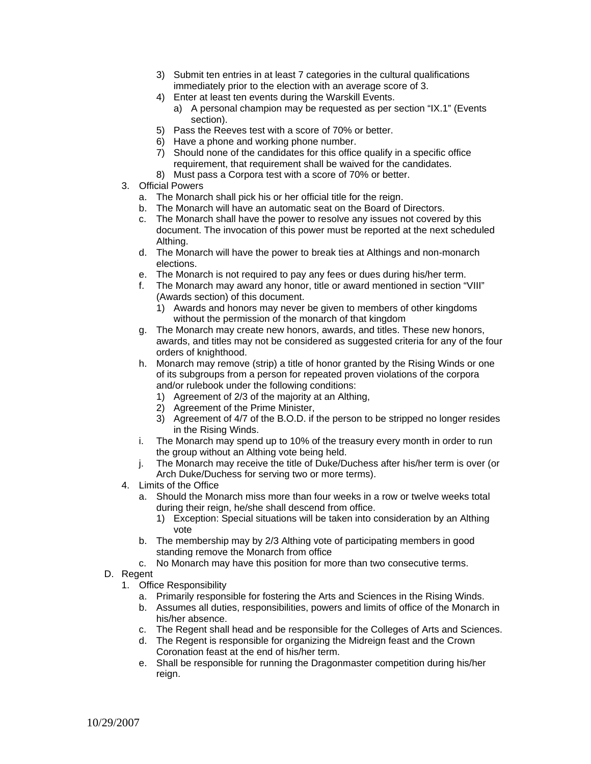- 3) Submit ten entries in at least 7 categories in the cultural qualifications immediately prior to the election with an average score of 3.
- 4) Enter at least ten events during the Warskill Events.
	- a) A personal champion may be requested as per section "IX.1" (Events section).
- 5) Pass the Reeves test with a score of 70% or better.
- 6) Have a phone and working phone number.
- 7) Should none of the candidates for this office qualify in a specific office requirement, that requirement shall be waived for the candidates.
- 8) Must pass a Corpora test with a score of 70% or better.
- 3. Official Powers
	- a. The Monarch shall pick his or her official title for the reign.
	- b. The Monarch will have an automatic seat on the Board of Directors.
	- c. The Monarch shall have the power to resolve any issues not covered by this document. The invocation of this power must be reported at the next scheduled Althing.
	- d. The Monarch will have the power to break ties at Althings and non-monarch elections.
	- e. The Monarch is not required to pay any fees or dues during his/her term.
	- f. The Monarch may award any honor, title or award mentioned in section "VIII" (Awards section) of this document.
		- 1) Awards and honors may never be given to members of other kingdoms without the permission of the monarch of that kingdom
	- g. The Monarch may create new honors, awards, and titles. These new honors, awards, and titles may not be considered as suggested criteria for any of the four orders of knighthood.
	- h. Monarch may remove (strip) a title of honor granted by the Rising Winds or one of its subgroups from a person for repeated proven violations of the corpora and/or rulebook under the following conditions:
		- 1) Agreement of 2/3 of the majority at an Althing,
		- 2) Agreement of the Prime Minister,
		- 3) Agreement of 4/7 of the B.O.D. if the person to be stripped no longer resides in the Rising Winds.
	- i. The Monarch may spend up to 10% of the treasury every month in order to run the group without an Althing vote being held.
	- j. The Monarch may receive the title of Duke/Duchess after his/her term is over (or Arch Duke/Duchess for serving two or more terms).
- 4. Limits of the Office
	- a. Should the Monarch miss more than four weeks in a row or twelve weeks total during their reign, he/she shall descend from office.
		- 1) Exception: Special situations will be taken into consideration by an Althing vote
	- b. The membership may by 2/3 Althing vote of participating members in good standing remove the Monarch from office
	- c. No Monarch may have this position for more than two consecutive terms.
- D. Regent
	- 1. Office Responsibility
		- a. Primarily responsible for fostering the Arts and Sciences in the Rising Winds.
		- b. Assumes all duties, responsibilities, powers and limits of office of the Monarch in his/her absence.
		- c. The Regent shall head and be responsible for the Colleges of Arts and Sciences.
		- d. The Regent is responsible for organizing the Midreign feast and the Crown Coronation feast at the end of his/her term.
		- e. Shall be responsible for running the Dragonmaster competition during his/her reign.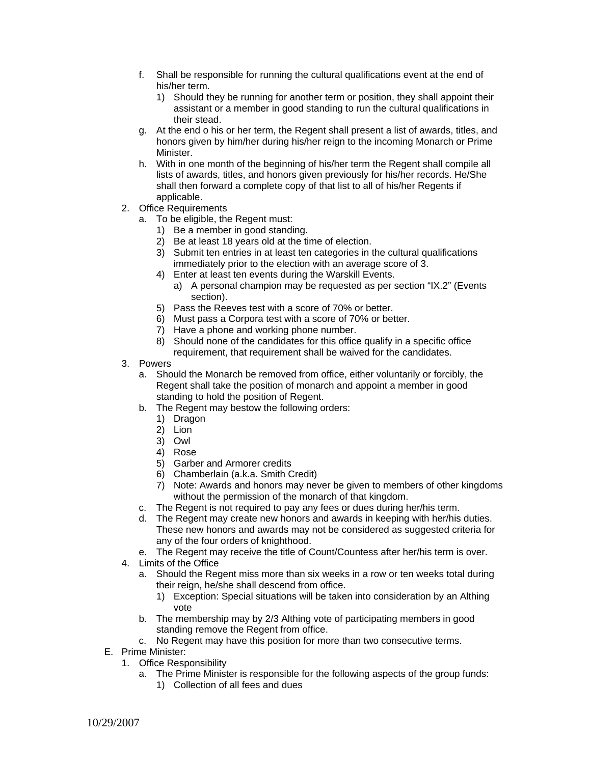- f. Shall be responsible for running the cultural qualifications event at the end of his/her term.
	- 1) Should they be running for another term or position, they shall appoint their assistant or a member in good standing to run the cultural qualifications in their stead.
- g. At the end o his or her term, the Regent shall present a list of awards, titles, and honors given by him/her during his/her reign to the incoming Monarch or Prime Minister.
- h. With in one month of the beginning of his/her term the Regent shall compile all lists of awards, titles, and honors given previously for his/her records. He/She shall then forward a complete copy of that list to all of his/her Regents if applicable.
- 2. Office Requirements
	- a. To be eligible, the Regent must:
		- 1) Be a member in good standing.
		- 2) Be at least 18 years old at the time of election.
		- 3) Submit ten entries in at least ten categories in the cultural qualifications immediately prior to the election with an average score of 3.
		- 4) Enter at least ten events during the Warskill Events.
			- a) A personal champion may be requested as per section "IX.2" (Events section).
		- 5) Pass the Reeves test with a score of 70% or better.
		- 6) Must pass a Corpora test with a score of 70% or better.
		- 7) Have a phone and working phone number.
		- 8) Should none of the candidates for this office qualify in a specific office
		- requirement, that requirement shall be waived for the candidates.
- 3. Powers
	- a. Should the Monarch be removed from office, either voluntarily or forcibly, the Regent shall take the position of monarch and appoint a member in good standing to hold the position of Regent.
	- b. The Regent may bestow the following orders:
		- 1) Dragon
		- 2) Lion
		- 3) Owl
		- 4) Rose
		- 5) Garber and Armorer credits
		- 6) Chamberlain (a.k.a. Smith Credit)
		- 7) Note: Awards and honors may never be given to members of other kingdoms without the permission of the monarch of that kingdom.
	- c. The Regent is not required to pay any fees or dues during her/his term.
	- d. The Regent may create new honors and awards in keeping with her/his duties. These new honors and awards may not be considered as suggested criteria for any of the four orders of knighthood.
	- e. The Regent may receive the title of Count/Countess after her/his term is over.
- 4. Limits of the Office
	- a. Should the Regent miss more than six weeks in a row or ten weeks total during their reign, he/she shall descend from office.
		- 1) Exception: Special situations will be taken into consideration by an Althing vote
	- b. The membership may by 2/3 Althing vote of participating members in good standing remove the Regent from office.
	- c. No Regent may have this position for more than two consecutive terms.
- E. Prime Minister:
	- 1. Office Responsibility
		- a. The Prime Minister is responsible for the following aspects of the group funds:
			- 1) Collection of all fees and dues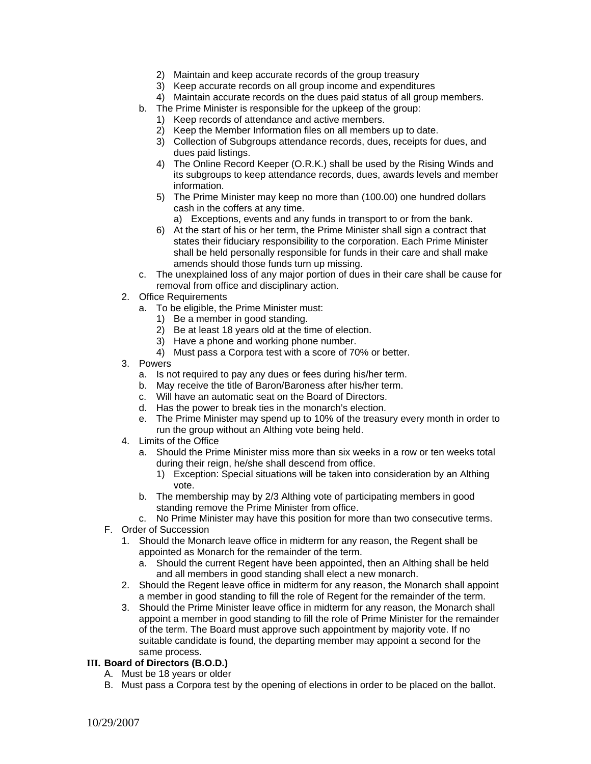- 2) Maintain and keep accurate records of the group treasury
- 3) Keep accurate records on all group income and expenditures
- 4) Maintain accurate records on the dues paid status of all group members.
- b. The Prime Minister is responsible for the upkeep of the group:
	- 1) Keep records of attendance and active members.
	- 2) Keep the Member Information files on all members up to date.
	- 3) Collection of Subgroups attendance records, dues, receipts for dues, and dues paid listings.
	- 4) The Online Record Keeper (O.R.K.) shall be used by the Rising Winds and its subgroups to keep attendance records, dues, awards levels and member information.
	- 5) The Prime Minister may keep no more than (100.00) one hundred dollars cash in the coffers at any time.

a) Exceptions, events and any funds in transport to or from the bank.

- 6) At the start of his or her term, the Prime Minister shall sign a contract that states their fiduciary responsibility to the corporation. Each Prime Minister shall be held personally responsible for funds in their care and shall make amends should those funds turn up missing.
- c. The unexplained loss of any major portion of dues in their care shall be cause for removal from office and disciplinary action.
- 2. Office Requirements
	- a. To be eligible, the Prime Minister must:
		- 1) Be a member in good standing.
		- 2) Be at least 18 years old at the time of election.
		- 3) Have a phone and working phone number.
		- 4) Must pass a Corpora test with a score of 70% or better.
- 3. Powers
	- a. Is not required to pay any dues or fees during his/her term.
	- b. May receive the title of Baron/Baroness after his/her term.
	- c. Will have an automatic seat on the Board of Directors.
	- d. Has the power to break ties in the monarch's election.
	- e. The Prime Minister may spend up to 10% of the treasury every month in order to run the group without an Althing vote being held.
- 4. Limits of the Office
	- a. Should the Prime Minister miss more than six weeks in a row or ten weeks total during their reign, he/she shall descend from office.
		- 1) Exception: Special situations will be taken into consideration by an Althing vote.
	- b. The membership may by 2/3 Althing vote of participating members in good standing remove the Prime Minister from office.
	- c. No Prime Minister may have this position for more than two consecutive terms.
- F. Order of Succession
	- 1. Should the Monarch leave office in midterm for any reason, the Regent shall be appointed as Monarch for the remainder of the term.
		- a. Should the current Regent have been appointed, then an Althing shall be held and all members in good standing shall elect a new monarch.
	- 2. Should the Regent leave office in midterm for any reason, the Monarch shall appoint a member in good standing to fill the role of Regent for the remainder of the term.
	- 3. Should the Prime Minister leave office in midterm for any reason, the Monarch shall appoint a member in good standing to fill the role of Prime Minister for the remainder of the term. The Board must approve such appointment by majority vote. If no suitable candidate is found, the departing member may appoint a second for the same process.

#### **III. Board of Directors (B.O.D.)**

- A. Must be 18 years or older
- B. Must pass a Corpora test by the opening of elections in order to be placed on the ballot.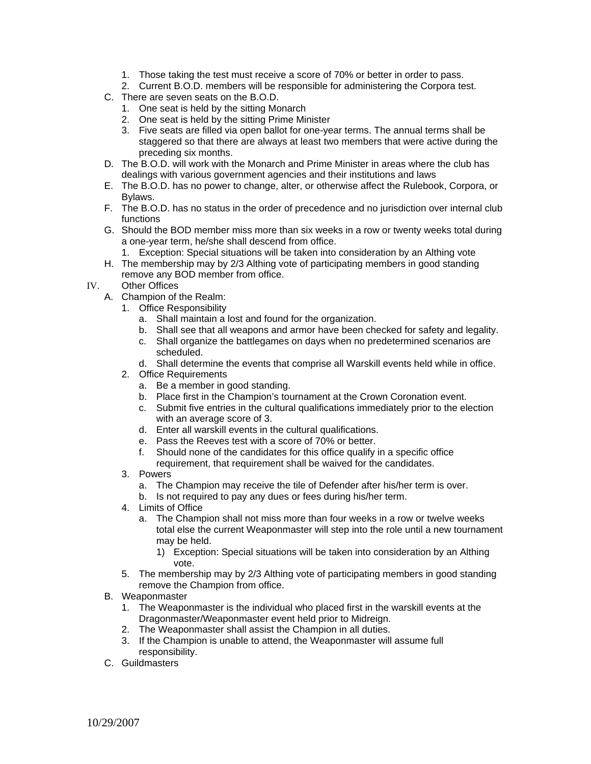- 1. Those taking the test must receive a score of 70% or better in order to pass.
- 2. Current B.O.D. members will be responsible for administering the Corpora test.
- C. There are seven seats on the B.O.D.
	- 1. One seat is held by the sitting Monarch
	- 2. One seat is held by the sitting Prime Minister
	- 3. Five seats are filled via open ballot for one-year terms. The annual terms shall be staggered so that there are always at least two members that were active during the preceding six months.
- D. The B.O.D. will work with the Monarch and Prime Minister in areas where the club has dealings with various government agencies and their institutions and laws
- E. The B.O.D. has no power to change, alter, or otherwise affect the Rulebook, Corpora, or Bylaws.
- F. The B.O.D. has no status in the order of precedence and no jurisdiction over internal club functions
- G. Should the BOD member miss more than six weeks in a row or twenty weeks total during a one-year term, he/she shall descend from office.
	- 1. Exception: Special situations will be taken into consideration by an Althing vote
- H. The membership may by 2/3 Althing vote of participating members in good standing remove any BOD member from office.
- IV. Other Offices
	- A. Champion of the Realm:
		- 1. Office Responsibility
			- a. Shall maintain a lost and found for the organization.
			- b. Shall see that all weapons and armor have been checked for safety and legality.
			- c. Shall organize the battlegames on days when no predetermined scenarios are scheduled.
			- d. Shall determine the events that comprise all Warskill events held while in office.
		- 2. Office Requirements
			- a. Be a member in good standing.
			- b. Place first in the Champion's tournament at the Crown Coronation event.
			- c. Submit five entries in the cultural qualifications immediately prior to the election with an average score of 3.
			- d. Enter all warskill events in the cultural qualifications.
			- e. Pass the Reeves test with a score of 70% or better.
			- f. Should none of the candidates for this office qualify in a specific office
			- requirement, that requirement shall be waived for the candidates.
		- 3. Powers
			- a. The Champion may receive the tile of Defender after his/her term is over.
			- b. Is not required to pay any dues or fees during his/her term.
		- 4. Limits of Office
			- a. The Champion shall not miss more than four weeks in a row or twelve weeks total else the current Weaponmaster will step into the role until a new tournament may be held.
				- 1) Exception: Special situations will be taken into consideration by an Althing vote.
		- 5. The membership may by 2/3 Althing vote of participating members in good standing remove the Champion from office.
	- B. Weaponmaster
		- 1. The Weaponmaster is the individual who placed first in the warskill events at the Dragonmaster/Weaponmaster event held prior to Midreign.
		- 2. The Weaponmaster shall assist the Champion in all duties.
		- 3. If the Champion is unable to attend, the Weaponmaster will assume full responsibility.
	- C. Guildmasters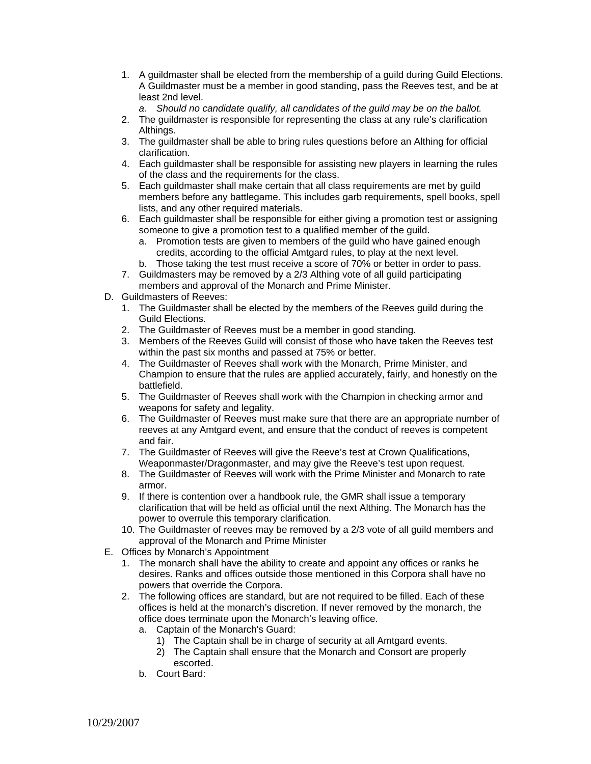1. A guildmaster shall be elected from the membership of a guild during Guild Elections. A Guildmaster must be a member in good standing, pass the Reeves test, and be at least 2nd level.

*a. Should no candidate qualify, all candidates of the guild may be on the ballot.* 

- 2. The guildmaster is responsible for representing the class at any rule's clarification Althings.
- 3. The guildmaster shall be able to bring rules questions before an Althing for official clarification.
- 4. Each guildmaster shall be responsible for assisting new players in learning the rules of the class and the requirements for the class.
- 5. Each guildmaster shall make certain that all class requirements are met by guild members before any battlegame. This includes garb requirements, spell books, spell lists, and any other required materials.
- 6. Each guildmaster shall be responsible for either giving a promotion test or assigning someone to give a promotion test to a qualified member of the guild.
	- a. Promotion tests are given to members of the guild who have gained enough credits, according to the official Amtgard rules, to play at the next level.
	- b. Those taking the test must receive a score of 70% or better in order to pass.
- 7. Guildmasters may be removed by a 2/3 Althing vote of all guild participating members and approval of the Monarch and Prime Minister.
- D. Guildmasters of Reeves:
	- 1. The Guildmaster shall be elected by the members of the Reeves guild during the Guild Elections.
	- 2. The Guildmaster of Reeves must be a member in good standing.
	- 3. Members of the Reeves Guild will consist of those who have taken the Reeves test within the past six months and passed at 75% or better.
	- 4. The Guildmaster of Reeves shall work with the Monarch, Prime Minister, and Champion to ensure that the rules are applied accurately, fairly, and honestly on the battlefield.
	- 5. The Guildmaster of Reeves shall work with the Champion in checking armor and weapons for safety and legality.
	- 6. The Guildmaster of Reeves must make sure that there are an appropriate number of reeves at any Amtgard event, and ensure that the conduct of reeves is competent and fair.
	- 7. The Guildmaster of Reeves will give the Reeve's test at Crown Qualifications, Weaponmaster/Dragonmaster, and may give the Reeve's test upon request.
	- 8. The Guildmaster of Reeves will work with the Prime Minister and Monarch to rate armor.
	- 9. If there is contention over a handbook rule, the GMR shall issue a temporary clarification that will be held as official until the next Althing. The Monarch has the power to overrule this temporary clarification.
	- 10. The Guildmaster of reeves may be removed by a 2/3 vote of all guild members and approval of the Monarch and Prime Minister
- E. Offices by Monarch's Appointment
	- 1. The monarch shall have the ability to create and appoint any offices or ranks he desires. Ranks and offices outside those mentioned in this Corpora shall have no powers that override the Corpora.
	- 2. The following offices are standard, but are not required to be filled. Each of these offices is held at the monarch's discretion. If never removed by the monarch, the office does terminate upon the Monarch's leaving office.
		- a. Captain of the Monarch's Guard:
			- 1) The Captain shall be in charge of security at all Amtgard events.
			- 2) The Captain shall ensure that the Monarch and Consort are properly escorted.
		- b. Court Bard: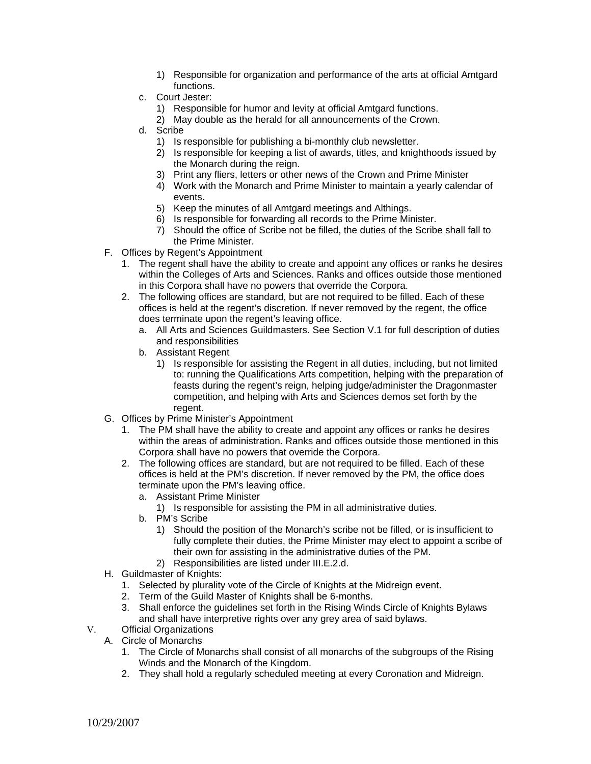- 1) Responsible for organization and performance of the arts at official Amtgard functions.
- c. Court Jester:
	- 1) Responsible for humor and levity at official Amtgard functions.
	- 2) May double as the herald for all announcements of the Crown.
- d. Scribe
	- 1) Is responsible for publishing a bi-monthly club newsletter.
	- 2) Is responsible for keeping a list of awards, titles, and knighthoods issued by the Monarch during the reign.
	- 3) Print any fliers, letters or other news of the Crown and Prime Minister
	- 4) Work with the Monarch and Prime Minister to maintain a yearly calendar of events.
	- 5) Keep the minutes of all Amtgard meetings and Althings.
	- 6) Is responsible for forwarding all records to the Prime Minister.
	- 7) Should the office of Scribe not be filled, the duties of the Scribe shall fall to the Prime Minister.
- F. Offices by Regent's Appointment
	- 1. The regent shall have the ability to create and appoint any offices or ranks he desires within the Colleges of Arts and Sciences. Ranks and offices outside those mentioned in this Corpora shall have no powers that override the Corpora.
	- 2. The following offices are standard, but are not required to be filled. Each of these offices is held at the regent's discretion. If never removed by the regent, the office does terminate upon the regent's leaving office.
		- a. All Arts and Sciences Guildmasters. See Section V.1 for full description of duties and responsibilities
		- b. Assistant Regent
			- 1) Is responsible for assisting the Regent in all duties, including, but not limited to: running the Qualifications Arts competition, helping with the preparation of feasts during the regent's reign, helping judge/administer the Dragonmaster competition, and helping with Arts and Sciences demos set forth by the regent.
- G. Offices by Prime Minister's Appointment
	- 1. The PM shall have the ability to create and appoint any offices or ranks he desires within the areas of administration. Ranks and offices outside those mentioned in this Corpora shall have no powers that override the Corpora.
	- 2. The following offices are standard, but are not required to be filled. Each of these offices is held at the PM's discretion. If never removed by the PM, the office does terminate upon the PM's leaving office.
		- a. Assistant Prime Minister
			- 1) Is responsible for assisting the PM in all administrative duties.
		- b. PM's Scribe
			- 1) Should the position of the Monarch's scribe not be filled, or is insufficient to fully complete their duties, the Prime Minister may elect to appoint a scribe of their own for assisting in the administrative duties of the PM.
			- 2) Responsibilities are listed under III.E.2.d.
- H. Guildmaster of Knights:
	- 1. Selected by plurality vote of the Circle of Knights at the Midreign event.
	- 2. Term of the Guild Master of Knights shall be 6-months.
	- 3. Shall enforce the guidelines set forth in the Rising Winds Circle of Knights Bylaws and shall have interpretive rights over any grey area of said bylaws.
- V. Official Organizations
	- A. Circle of Monarchs
		- 1. The Circle of Monarchs shall consist of all monarchs of the subgroups of the Rising Winds and the Monarch of the Kingdom.
		- 2. They shall hold a regularly scheduled meeting at every Coronation and Midreign.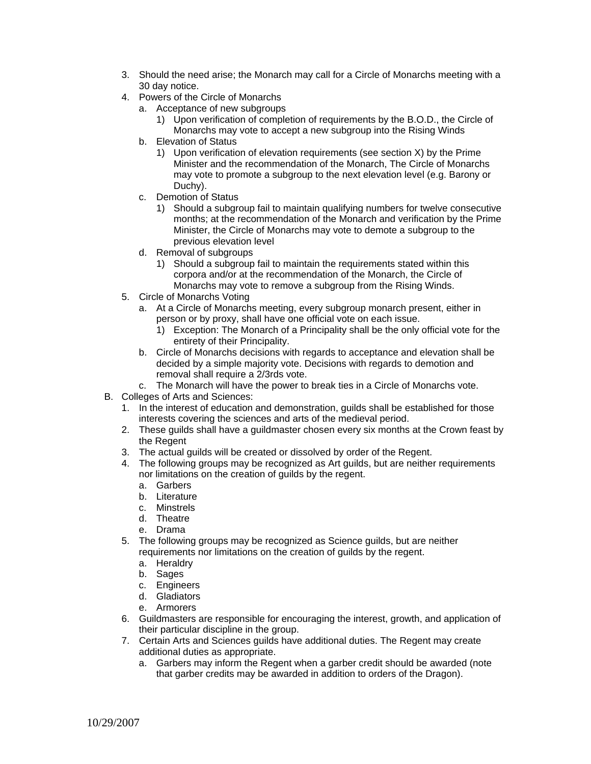- 3. Should the need arise; the Monarch may call for a Circle of Monarchs meeting with a 30 day notice.
- 4. Powers of the Circle of Monarchs
	- a. Acceptance of new subgroups
		- 1) Upon verification of completion of requirements by the B.O.D., the Circle of Monarchs may vote to accept a new subgroup into the Rising Winds
	- b. Elevation of Status
		- 1) Upon verification of elevation requirements (see section X) by the Prime Minister and the recommendation of the Monarch, The Circle of Monarchs may vote to promote a subgroup to the next elevation level (e.g. Barony or Duchy).
	- c. Demotion of Status
		- 1) Should a subgroup fail to maintain qualifying numbers for twelve consecutive months; at the recommendation of the Monarch and verification by the Prime Minister, the Circle of Monarchs may vote to demote a subgroup to the previous elevation level
	- d. Removal of subgroups
		- 1) Should a subgroup fail to maintain the requirements stated within this corpora and/or at the recommendation of the Monarch, the Circle of Monarchs may vote to remove a subgroup from the Rising Winds.
- 5. Circle of Monarchs Voting
	- a. At a Circle of Monarchs meeting, every subgroup monarch present, either in person or by proxy, shall have one official vote on each issue.
		- 1) Exception: The Monarch of a Principality shall be the only official vote for the entirety of their Principality.
	- b. Circle of Monarchs decisions with regards to acceptance and elevation shall be decided by a simple majority vote. Decisions with regards to demotion and removal shall require a 2/3rds vote.
	- c. The Monarch will have the power to break ties in a Circle of Monarchs vote.
- B. Colleges of Arts and Sciences:
	- 1. In the interest of education and demonstration, guilds shall be established for those interests covering the sciences and arts of the medieval period.
	- 2. These guilds shall have a guildmaster chosen every six months at the Crown feast by the Regent
	- 3. The actual guilds will be created or dissolved by order of the Regent.
	- 4. The following groups may be recognized as Art guilds, but are neither requirements nor limitations on the creation of guilds by the regent.
		- a. Garbers
		- b. Literature
		- c. Minstrels
		- d. Theatre
		- e. Drama
	- 5. The following groups may be recognized as Science guilds, but are neither requirements nor limitations on the creation of guilds by the regent.
		- a. Heraldry
		- b. Sages
		- c. Engineers
		- d. Gladiators
		- e. Armorers
	- 6. Guildmasters are responsible for encouraging the interest, growth, and application of their particular discipline in the group.
	- 7. Certain Arts and Sciences guilds have additional duties. The Regent may create additional duties as appropriate.
		- a. Garbers may inform the Regent when a garber credit should be awarded (note that garber credits may be awarded in addition to orders of the Dragon).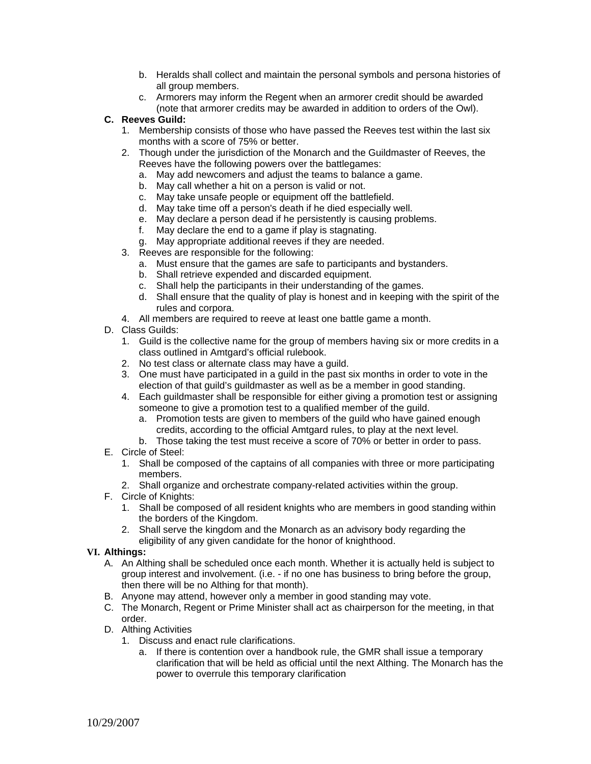- b. Heralds shall collect and maintain the personal symbols and persona histories of all group members.
- c. Armorers may inform the Regent when an armorer credit should be awarded (note that armorer credits may be awarded in addition to orders of the Owl).

# **C. Reeves Guild:**

- 1. Membership consists of those who have passed the Reeves test within the last six months with a score of 75% or better.
- 2. Though under the jurisdiction of the Monarch and the Guildmaster of Reeves, the Reeves have the following powers over the battlegames:
	- a. May add newcomers and adjust the teams to balance a game.
	- b. May call whether a hit on a person is valid or not.
	- c. May take unsafe people or equipment off the battlefield.
	- d. May take time off a person's death if he died especially well.
	- e. May declare a person dead if he persistently is causing problems.
	- f. May declare the end to a game if play is stagnating.
	- g. May appropriate additional reeves if they are needed.
- 3. Reeves are responsible for the following:
	- a. Must ensure that the games are safe to participants and bystanders.
	- b. Shall retrieve expended and discarded equipment.
	- c. Shall help the participants in their understanding of the games.
	- d. Shall ensure that the quality of play is honest and in keeping with the spirit of the rules and corpora.
- 4. All members are required to reeve at least one battle game a month.
- D. Class Guilds:
	- 1. Guild is the collective name for the group of members having six or more credits in a class outlined in Amtgard's official rulebook.
	- 2. No test class or alternate class may have a guild.
	- 3. One must have participated in a guild in the past six months in order to vote in the election of that guild's guildmaster as well as be a member in good standing.
	- 4. Each guildmaster shall be responsible for either giving a promotion test or assigning someone to give a promotion test to a qualified member of the guild.
		- a. Promotion tests are given to members of the guild who have gained enough credits, according to the official Amtgard rules, to play at the next level.
	- b. Those taking the test must receive a score of 70% or better in order to pass.
- E. Circle of Steel:
	- 1. Shall be composed of the captains of all companies with three or more participating members.
	- 2. Shall organize and orchestrate company-related activities within the group.
- F. Circle of Knights:
	- 1. Shall be composed of all resident knights who are members in good standing within the borders of the Kingdom.
	- 2. Shall serve the kingdom and the Monarch as an advisory body regarding the eligibility of any given candidate for the honor of knighthood.

## **VI. Althings:**

- A. An Althing shall be scheduled once each month. Whether it is actually held is subject to group interest and involvement. (i.e. - if no one has business to bring before the group, then there will be no Althing for that month).
- B. Anyone may attend, however only a member in good standing may vote.
- C. The Monarch, Regent or Prime Minister shall act as chairperson for the meeting, in that order.
- D. Althing Activities
	- 1. Discuss and enact rule clarifications.
		- a. If there is contention over a handbook rule, the GMR shall issue a temporary clarification that will be held as official until the next Althing. The Monarch has the power to overrule this temporary clarification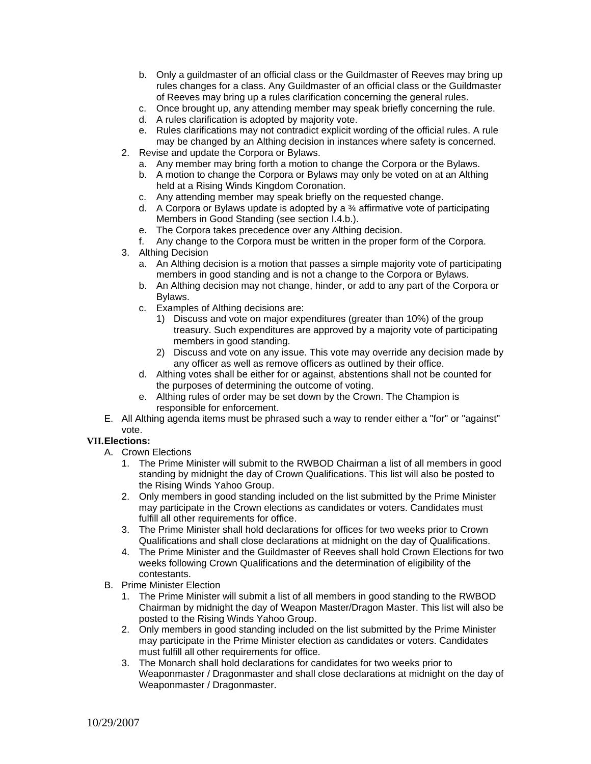- b. Only a guildmaster of an official class or the Guildmaster of Reeves may bring up rules changes for a class. Any Guildmaster of an official class or the Guildmaster of Reeves may bring up a rules clarification concerning the general rules.
- c. Once brought up, any attending member may speak briefly concerning the rule.
- d. A rules clarification is adopted by majority vote.
- e. Rules clarifications may not contradict explicit wording of the official rules. A rule may be changed by an Althing decision in instances where safety is concerned.
- 2. Revise and update the Corpora or Bylaws.
	- a. Any member may bring forth a motion to change the Corpora or the Bylaws.
	- b. A motion to change the Corpora or Bylaws may only be voted on at an Althing held at a Rising Winds Kingdom Coronation.
	- c. Any attending member may speak briefly on the requested change.
	- d. A Corpora or Bylaws update is adopted by a ¾ affirmative vote of participating Members in Good Standing (see section I.4.b.).
	- e. The Corpora takes precedence over any Althing decision.
	- f. Any change to the Corpora must be written in the proper form of the Corpora.
- 3. Althing Decision
	- a. An Althing decision is a motion that passes a simple majority vote of participating members in good standing and is not a change to the Corpora or Bylaws.
	- b. An Althing decision may not change, hinder, or add to any part of the Corpora or Bylaws.
	- c. Examples of Althing decisions are:
		- 1) Discuss and vote on major expenditures (greater than 10%) of the group treasury. Such expenditures are approved by a majority vote of participating members in good standing.
		- 2) Discuss and vote on any issue. This vote may override any decision made by any officer as well as remove officers as outlined by their office.
	- d. Althing votes shall be either for or against, abstentions shall not be counted for the purposes of determining the outcome of voting.
	- e. Althing rules of order may be set down by the Crown. The Champion is responsible for enforcement.
- E. All Althing agenda items must be phrased such a way to render either a "for" or "against" vote.

# **VII. Elections:**

- A. Crown Elections
	- 1. The Prime Minister will submit to the RWBOD Chairman a list of all members in good standing by midnight the day of Crown Qualifications. This list will also be posted to the Rising Winds Yahoo Group.
	- 2. Only members in good standing included on the list submitted by the Prime Minister may participate in the Crown elections as candidates or voters. Candidates must fulfill all other requirements for office.
	- 3. The Prime Minister shall hold declarations for offices for two weeks prior to Crown Qualifications and shall close declarations at midnight on the day of Qualifications.
	- 4. The Prime Minister and the Guildmaster of Reeves shall hold Crown Elections for two weeks following Crown Qualifications and the determination of eligibility of the contestants.
- B. Prime Minister Election
	- 1. The Prime Minister will submit a list of all members in good standing to the RWBOD Chairman by midnight the day of Weapon Master/Dragon Master. This list will also be posted to the Rising Winds Yahoo Group.
	- 2. Only members in good standing included on the list submitted by the Prime Minister may participate in the Prime Minister election as candidates or voters. Candidates must fulfill all other requirements for office.
	- 3. The Monarch shall hold declarations for candidates for two weeks prior to Weaponmaster / Dragonmaster and shall close declarations at midnight on the day of Weaponmaster / Dragonmaster.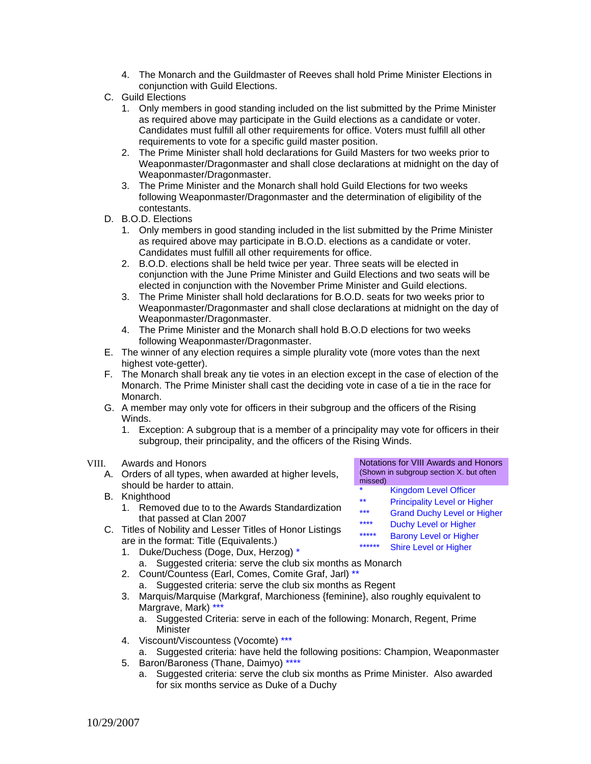- 4. The Monarch and the Guildmaster of Reeves shall hold Prime Minister Elections in conjunction with Guild Elections.
- C. Guild Elections
	- 1. Only members in good standing included on the list submitted by the Prime Minister as required above may participate in the Guild elections as a candidate or voter. Candidates must fulfill all other requirements for office. Voters must fulfill all other requirements to vote for a specific guild master position.
	- 2. The Prime Minister shall hold declarations for Guild Masters for two weeks prior to Weaponmaster/Dragonmaster and shall close declarations at midnight on the day of Weaponmaster/Dragonmaster.
	- 3. The Prime Minister and the Monarch shall hold Guild Elections for two weeks following Weaponmaster/Dragonmaster and the determination of eligibility of the contestants.
- D. B.O.D. Elections
	- 1. Only members in good standing included in the list submitted by the Prime Minister as required above may participate in B.O.D. elections as a candidate or voter. Candidates must fulfill all other requirements for office.
	- 2. B.O.D. elections shall be held twice per year. Three seats will be elected in conjunction with the June Prime Minister and Guild Elections and two seats will be elected in conjunction with the November Prime Minister and Guild elections.
	- 3. The Prime Minister shall hold declarations for B.O.D. seats for two weeks prior to Weaponmaster/Dragonmaster and shall close declarations at midnight on the day of Weaponmaster/Dragonmaster.
	- 4. The Prime Minister and the Monarch shall hold B.O.D elections for two weeks following Weaponmaster/Dragonmaster.
- E. The winner of any election requires a simple plurality vote (more votes than the next highest vote-getter).
- F. The Monarch shall break any tie votes in an election except in the case of election of the Monarch. The Prime Minister shall cast the deciding vote in case of a tie in the race for Monarch.
- G. A member may only vote for officers in their subgroup and the officers of the Rising Winds.
	- 1. Exception: A subgroup that is a member of a principality may vote for officers in their subgroup, their principality, and the officers of the Rising Winds.

## VIII. Awards and Honors

- A. Orders of all types, when awarded at higher levels, should be harder to attain.
- B. Knighthood
	- 1. Removed due to to the Awards Standardization that passed at Clan 2007
- C. Titles of Nobility and Lesser Titles of Honor Listings are in the format: Title (Equivalents.)
	- 1. Duke/Duchess (Doge, Dux, Herzog) \* a. Suggested criteria: serve the club six months as Monarch
	- 2. Count/Countess (Earl, Comes, Comite Graf, Jarl) \*\* a. Suggested criteria: serve the club six months as Regent
	- 3. Marquis/Marquise (Markgraf, Marchioness {feminine}, also roughly equivalent to Margrave, Mark)  $*$ 
		- a. Suggested Criteria: serve in each of the following: Monarch, Regent, Prime **Minister**
	- 4. Viscount/Viscountess (Vocomte) \*\*\*
	- a. Suggested criteria: have held the following positions: Champion, Weaponmaster
	- 5. Baron/Baroness (Thane, Daimyo) \*\*\*\*
		- a. Suggested criteria: serve the club six months as Prime Minister. Also awarded for six months service as Duke of a Duchy

Notations for VIII Awards and Honors (Shown in subgroup section X. but often missed)

- \* Kingdom Level Officer<br>\*\* Principality Lavel or His
- Principality Level or Higher
- \*\*\* Grand Duchy Level or Higher
- \*\*\*\* Duchy Level or Higher
- \*\*\*\*\*\* Barony Level or Higher
- Shire Level or Higher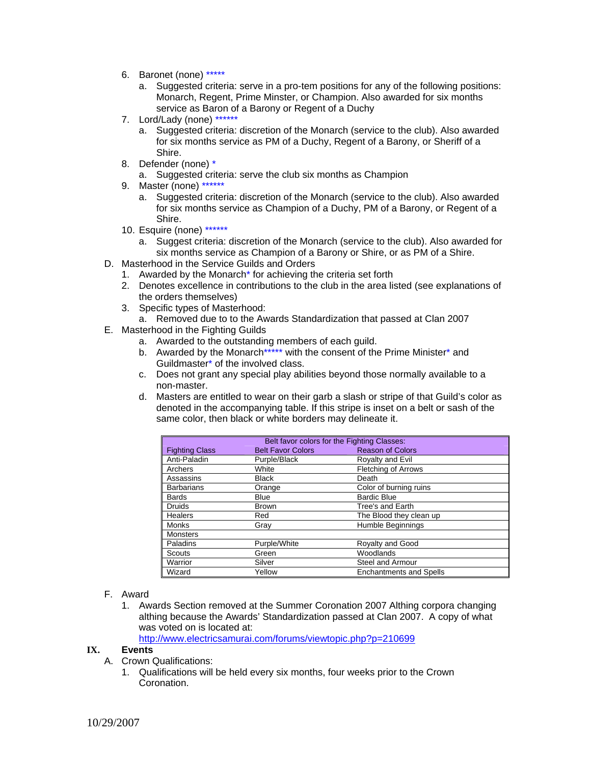- 6. Baronet (none) \*\*\*\*\*
	- a. Suggested criteria: serve in a pro-tem positions for any of the following positions: Monarch, Regent, Prime Minster, or Champion. Also awarded for six months service as Baron of a Barony or Regent of a Duchy
- 7. Lord/Lady (none) \*\*\*\*\*\*
	- a. Suggested criteria: discretion of the Monarch (service to the club). Also awarded for six months service as PM of a Duchy, Regent of a Barony, or Sheriff of a Shire.
- 8. Defender (none) \*

a. Suggested criteria: serve the club six months as Champion

- 9. Master (none) \*\*\*\*\*\*
	- a. Suggested criteria: discretion of the Monarch (service to the club). Also awarded for six months service as Champion of a Duchy, PM of a Barony, or Regent of a Shire.
- 10. Esquire (none) \*\*\*\*\*\*
	- a. Suggest criteria: discretion of the Monarch (service to the club). Also awarded for six months service as Champion of a Barony or Shire, or as PM of a Shire.
- D. Masterhood in the Service Guilds and Orders
	- 1. Awarded by the Monarch\* for achieving the criteria set forth
	- 2. Denotes excellence in contributions to the club in the area listed (see explanations of the orders themselves)
	- 3. Specific types of Masterhood:
	- a. Removed due to to the Awards Standardization that passed at Clan 2007
- E. Masterhood in the Fighting Guilds
	- a. Awarded to the outstanding members of each guild.
	- b. Awarded by the Monarch\*\*\*\*\* with the consent of the Prime Minister\* and Guildmaster\* of the involved class.
	- c. Does not grant any special play abilities beyond those normally available to a non-master.
	- d. Masters are entitled to wear on their garb a slash or stripe of that Guild's color as denoted in the accompanying table. If this stripe is inset on a belt or sash of the same color, then black or white borders may delineate it.

| Belt favor colors for the Fighting Classes: |                          |                                |
|---------------------------------------------|--------------------------|--------------------------------|
| <b>Fighting Class</b>                       | <b>Belt Favor Colors</b> | <b>Reason of Colors</b>        |
| Anti-Paladin                                | Purple/Black             | Royalty and Evil               |
| Archers                                     | White                    | <b>Fletching of Arrows</b>     |
| Assassins                                   | <b>Black</b>             | Death                          |
| <b>Barbarians</b>                           | Orange                   | Color of burning ruins         |
| <b>Bards</b>                                | <b>Blue</b>              | <b>Bardic Blue</b>             |
| <b>Druids</b>                               | <b>Brown</b>             | Tree's and Earth               |
| Healers                                     | Red                      | The Blood they clean up        |
| Monks                                       | Grav                     | <b>Humble Beginnings</b>       |
| <b>Monsters</b>                             |                          |                                |
| Paladins                                    | Purple/White             | Royalty and Good               |
| Scouts                                      | Green                    | Woodlands                      |
| Warrior                                     | Silver                   | Steel and Armour               |
| Wizard                                      | Yellow                   | <b>Enchantments and Spells</b> |

- F. Award
	- 1. Awards Section removed at the Summer Coronation 2007 Althing corpora changing althing because the Awards' Standardization passed at Clan 2007. A copy of what was voted on is located at:

http://www.electricsamurai.com/forums/viewtopic.php?p=210699

## **IX. Events**

- A. Crown Qualifications:
	- 1. Qualifications will be held every six months, four weeks prior to the Crown Coronation.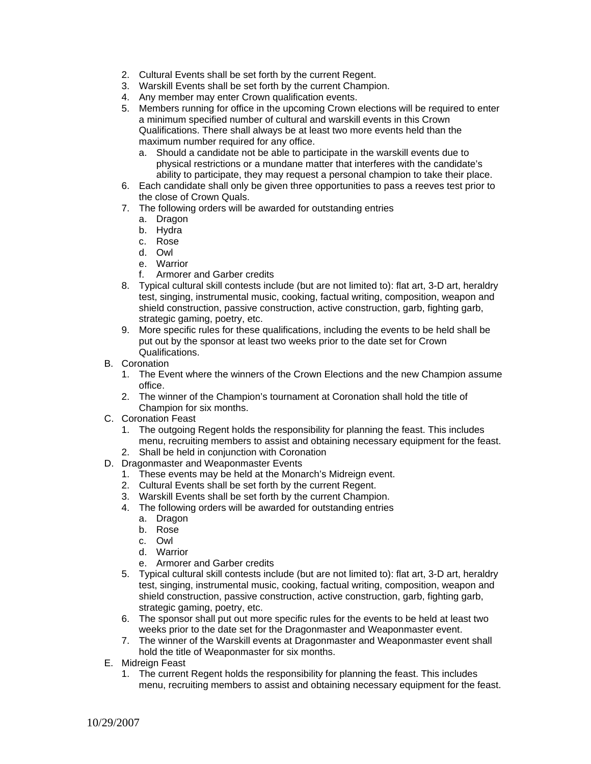- 2. Cultural Events shall be set forth by the current Regent.
- 3. Warskill Events shall be set forth by the current Champion.
- 4. Any member may enter Crown qualification events.
- 5. Members running for office in the upcoming Crown elections will be required to enter a minimum specified number of cultural and warskill events in this Crown Qualifications. There shall always be at least two more events held than the maximum number required for any office.
	- a. Should a candidate not be able to participate in the warskill events due to physical restrictions or a mundane matter that interferes with the candidate's ability to participate, they may request a personal champion to take their place.
- 6. Each candidate shall only be given three opportunities to pass a reeves test prior to the close of Crown Quals.
- 7. The following orders will be awarded for outstanding entries
	- a. Dragon
	- b. Hydra
	- c. Rose
	- d. Owl
	- e. Warrior
	- f. Armorer and Garber credits
- 8. Typical cultural skill contests include (but are not limited to): flat art, 3-D art, heraldry test, singing, instrumental music, cooking, factual writing, composition, weapon and shield construction, passive construction, active construction, garb, fighting garb, strategic gaming, poetry, etc.
- 9. More specific rules for these qualifications, including the events to be held shall be put out by the sponsor at least two weeks prior to the date set for Crown Qualifications.
- B. Coronation
	- 1. The Event where the winners of the Crown Elections and the new Champion assume office.
	- 2. The winner of the Champion's tournament at Coronation shall hold the title of Champion for six months.
- C. Coronation Feast
	- 1. The outgoing Regent holds the responsibility for planning the feast. This includes menu, recruiting members to assist and obtaining necessary equipment for the feast.
	- 2. Shall be held in conjunction with Coronation
- D. Dragonmaster and Weaponmaster Events
	- 1. These events may be held at the Monarch's Midreign event.
	- 2. Cultural Events shall be set forth by the current Regent.
	- 3. Warskill Events shall be set forth by the current Champion.
	- 4. The following orders will be awarded for outstanding entries
		- a. Dragon
			- b. Rose
			- c. Owl
			- d. Warrior
			- e. Armorer and Garber credits
	- 5. Typical cultural skill contests include (but are not limited to): flat art, 3-D art, heraldry test, singing, instrumental music, cooking, factual writing, composition, weapon and shield construction, passive construction, active construction, garb, fighting garb, strategic gaming, poetry, etc.
	- 6. The sponsor shall put out more specific rules for the events to be held at least two weeks prior to the date set for the Dragonmaster and Weaponmaster event.
	- 7. The winner of the Warskill events at Dragonmaster and Weaponmaster event shall hold the title of Weaponmaster for six months.
- E. Midreign Feast
	- 1. The current Regent holds the responsibility for planning the feast. This includes menu, recruiting members to assist and obtaining necessary equipment for the feast.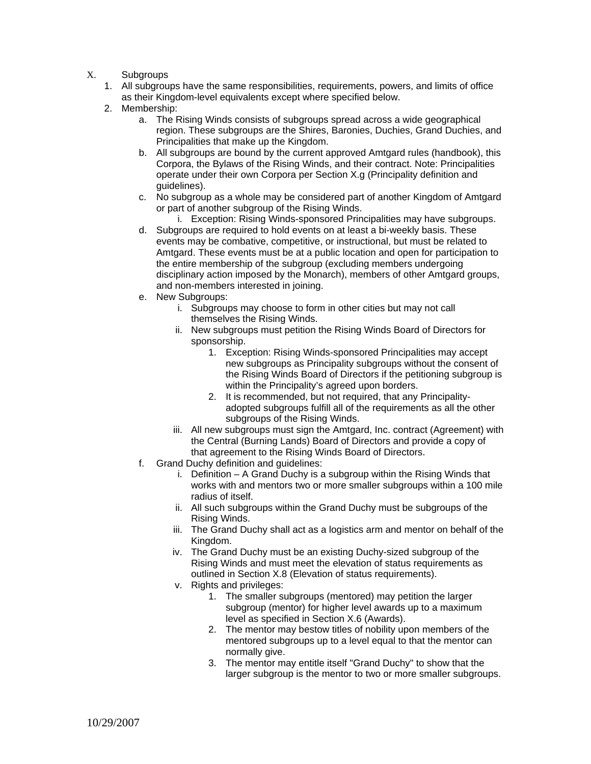- X. Subgroups
	- 1. All subgroups have the same responsibilities, requirements, powers, and limits of office as their Kingdom-level equivalents except where specified below.
	- 2. Membership:
		- a. The Rising Winds consists of subgroups spread across a wide geographical region. These subgroups are the Shires, Baronies, Duchies, Grand Duchies, and Principalities that make up the Kingdom.
		- b. All subgroups are bound by the current approved Amtgard rules (handbook), this Corpora, the Bylaws of the Rising Winds, and their contract. Note: Principalities operate under their own Corpora per Section X.g (Principality definition and guidelines).
		- c. No subgroup as a whole may be considered part of another Kingdom of Amtgard or part of another subgroup of the Rising Winds.
			- i. Exception: Rising Winds-sponsored Principalities may have subgroups.
		- d. Subgroups are required to hold events on at least a bi-weekly basis. These events may be combative, competitive, or instructional, but must be related to Amtgard. These events must be at a public location and open for participation to the entire membership of the subgroup (excluding members undergoing disciplinary action imposed by the Monarch), members of other Amtgard groups, and non-members interested in joining.
		- e. New Subgroups:
			- i. Subgroups may choose to form in other cities but may not call themselves the Rising Winds.
			- ii. New subgroups must petition the Rising Winds Board of Directors for sponsorship.
				- 1. Exception: Rising Winds-sponsored Principalities may accept new subgroups as Principality subgroups without the consent of the Rising Winds Board of Directors if the petitioning subgroup is within the Principality's agreed upon borders.
				- 2. It is recommended, but not required, that any Principalityadopted subgroups fulfill all of the requirements as all the other subgroups of the Rising Winds.
			- iii. All new subgroups must sign the Amtgard, Inc. contract (Agreement) with the Central (Burning Lands) Board of Directors and provide a copy of that agreement to the Rising Winds Board of Directors.
		- f. Grand Duchy definition and guidelines:
			- i. Definition A Grand Duchy is a subgroup within the Rising Winds that works with and mentors two or more smaller subgroups within a 100 mile radius of itself.
			- ii. All such subgroups within the Grand Duchy must be subgroups of the Rising Winds.
			- iii. The Grand Duchy shall act as a logistics arm and mentor on behalf of the Kingdom.
			- iv. The Grand Duchy must be an existing Duchy-sized subgroup of the Rising Winds and must meet the elevation of status requirements as outlined in Section X.8 (Elevation of status requirements).
			- v. Rights and privileges:
				- 1. The smaller subgroups (mentored) may petition the larger subgroup (mentor) for higher level awards up to a maximum level as specified in Section X.6 (Awards).
				- 2. The mentor may bestow titles of nobility upon members of the mentored subgroups up to a level equal to that the mentor can normally give.
				- 3. The mentor may entitle itself "Grand Duchy" to show that the larger subgroup is the mentor to two or more smaller subgroups.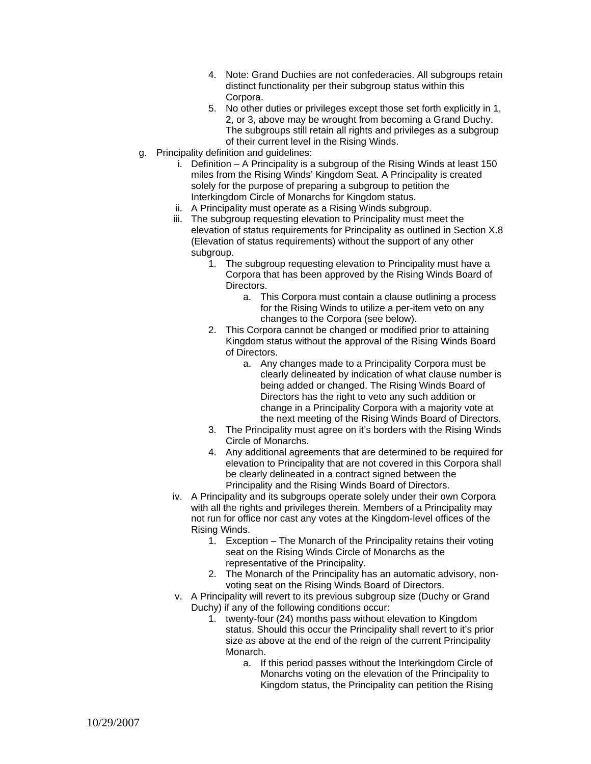- 4. Note: Grand Duchies are not confederacies. All subgroups retain distinct functionality per their subgroup status within this Corpora.
- 5. No other duties or privileges except those set forth explicitly in 1, 2, or 3, above may be wrought from becoming a Grand Duchy. The subgroups still retain all rights and privileges as a subgroup of their current level in the Rising Winds.
- g. Principality definition and guidelines:
	- i. Definition A Principality is a subgroup of the Rising Winds at least 150 miles from the Rising Winds' Kingdom Seat. A Principality is created solely for the purpose of preparing a subgroup to petition the Interkingdom Circle of Monarchs for Kingdom status.
	- ii. A Principality must operate as a Rising Winds subgroup.
	- iii. The subgroup requesting elevation to Principality must meet the elevation of status requirements for Principality as outlined in Section X.8 (Elevation of status requirements) without the support of any other subgroup.
		- 1. The subgroup requesting elevation to Principality must have a Corpora that has been approved by the Rising Winds Board of Directors.
			- a. This Corpora must contain a clause outlining a process for the Rising Winds to utilize a per-item veto on any changes to the Corpora (see below).
		- 2. This Corpora cannot be changed or modified prior to attaining Kingdom status without the approval of the Rising Winds Board of Directors.
			- a. Any changes made to a Principality Corpora must be clearly delineated by indication of what clause number is being added or changed. The Rising Winds Board of Directors has the right to veto any such addition or change in a Principality Corpora with a majority vote at the next meeting of the Rising Winds Board of Directors.
		- 3. The Principality must agree on it's borders with the Rising Winds Circle of Monarchs.
		- 4. Any additional agreements that are determined to be required for elevation to Principality that are not covered in this Corpora shall be clearly delineated in a contract signed between the Principality and the Rising Winds Board of Directors.
	- iv. A Principality and its subgroups operate solely under their own Corpora with all the rights and privileges therein. Members of a Principality may not run for office nor cast any votes at the Kingdom-level offices of the Rising Winds.
		- 1. Exception The Monarch of the Principality retains their voting seat on the Rising Winds Circle of Monarchs as the representative of the Principality.
		- 2. The Monarch of the Principality has an automatic advisory, nonvoting seat on the Rising Winds Board of Directors.
	- v. A Principality will revert to its previous subgroup size (Duchy or Grand Duchy) if any of the following conditions occur:
		- 1. twenty-four (24) months pass without elevation to Kingdom status. Should this occur the Principality shall revert to it's prior size as above at the end of the reign of the current Principality Monarch.
			- a. If this period passes without the Interkingdom Circle of Monarchs voting on the elevation of the Principality to Kingdom status, the Principality can petition the Rising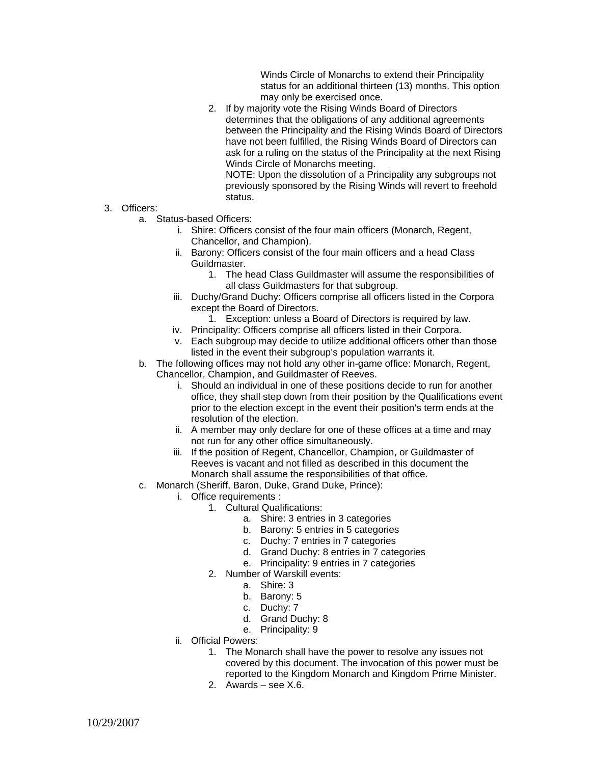Winds Circle of Monarchs to extend their Principality status for an additional thirteen (13) months. This option may only be exercised once.

2. If by majority vote the Rising Winds Board of Directors determines that the obligations of any additional agreements between the Principality and the Rising Winds Board of Directors have not been fulfilled, the Rising Winds Board of Directors can ask for a ruling on the status of the Principality at the next Rising Winds Circle of Monarchs meeting.

NOTE: Upon the dissolution of a Principality any subgroups not previously sponsored by the Rising Winds will revert to freehold status.

- 3. Officers:
	- a. Status-based Officers:
		- i. Shire: Officers consist of the four main officers (Monarch, Regent, Chancellor, and Champion).
		- ii. Barony: Officers consist of the four main officers and a head Class Guildmaster.
			- 1. The head Class Guildmaster will assume the responsibilities of all class Guildmasters for that subgroup.
		- iii. Duchy/Grand Duchy: Officers comprise all officers listed in the Corpora except the Board of Directors.
			- 1. Exception: unless a Board of Directors is required by law.
		- iv. Principality: Officers comprise all officers listed in their Corpora.
		- v. Each subgroup may decide to utilize additional officers other than those listed in the event their subgroup's population warrants it.
	- b. The following offices may not hold any other in-game office: Monarch, Regent, Chancellor, Champion, and Guildmaster of Reeves.
		- i. Should an individual in one of these positions decide to run for another office, they shall step down from their position by the Qualifications event prior to the election except in the event their position's term ends at the resolution of the election.
		- ii. A member may only declare for one of these offices at a time and may not run for any other office simultaneously.
		- iii. If the position of Regent, Chancellor, Champion, or Guildmaster of Reeves is vacant and not filled as described in this document the Monarch shall assume the responsibilities of that office.
	- c. Monarch (Sheriff, Baron, Duke, Grand Duke, Prince):
		- i. Office requirements :
			- 1. Cultural Qualifications:
				- a. Shire: 3 entries in 3 categories
				- b. Barony: 5 entries in 5 categories
				- c. Duchy: 7 entries in 7 categories
				- d. Grand Duchy: 8 entries in 7 categories
				- e. Principality: 9 entries in 7 categories
			- 2. Number of Warskill events:
				- a. Shire: 3
				- b. Barony: 5
				- c. Duchy: 7
				- d. Grand Duchy: 8
				- e. Principality: 9
		- ii. Official Powers:
			- 1. The Monarch shall have the power to resolve any issues not covered by this document. The invocation of this power must be reported to the Kingdom Monarch and Kingdom Prime Minister.
			- 2. Awards see X.6.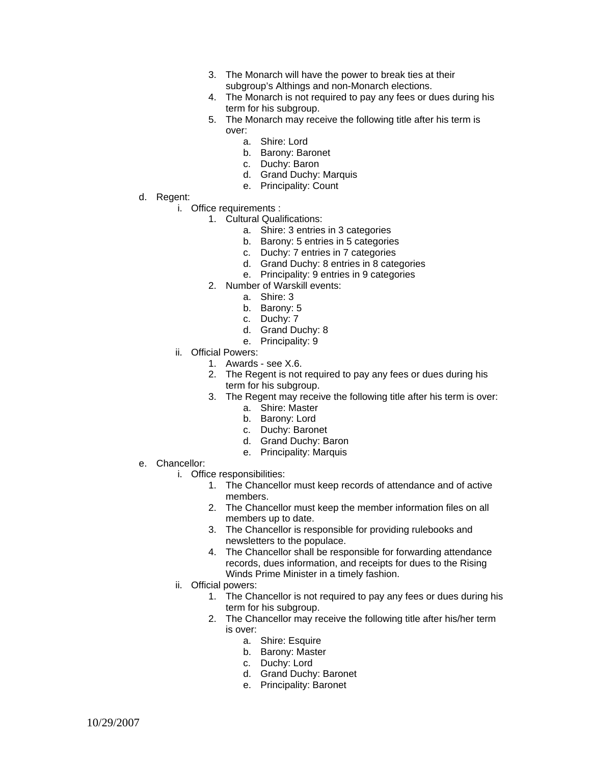- 3. The Monarch will have the power to break ties at their subgroup's Althings and non-Monarch elections.
- 4. The Monarch is not required to pay any fees or dues during his term for his subgroup.
- 5. The Monarch may receive the following title after his term is over:
	- a. Shire: Lord
	- b. Barony: Baronet
	- c. Duchy: Baron
	- d. Grand Duchy: Marquis
	- e. Principality: Count
- d. Regent:
	- i. Office requirements :
		- 1. Cultural Qualifications:
			- a. Shire: 3 entries in 3 categories
			- b. Barony: 5 entries in 5 categories
			- c. Duchy: 7 entries in 7 categories
			- d. Grand Duchy: 8 entries in 8 categories
			- e. Principality: 9 entries in 9 categories
			- 2. Number of Warskill events:
				- a. Shire: 3
				- b. Barony: 5
				- c. Duchy: 7
				- d. Grand Duchy: 8
				- e. Principality: 9
	- ii. Official Powers:
		- 1. Awards see X.6.
		- 2. The Regent is not required to pay any fees or dues during his term for his subgroup.
		- 3. The Regent may receive the following title after his term is over:
			- a. Shire: Master
			- b. Barony: Lord
			- c. Duchy: Baronet
			- d. Grand Duchy: Baron
			- e. Principality: Marquis
- e. Chancellor:
	- i. Office responsibilities:
		- 1. The Chancellor must keep records of attendance and of active members.
		- 2. The Chancellor must keep the member information files on all members up to date.
		- 3. The Chancellor is responsible for providing rulebooks and newsletters to the populace.
		- 4. The Chancellor shall be responsible for forwarding attendance records, dues information, and receipts for dues to the Rising Winds Prime Minister in a timely fashion.
	- ii. Official powers:
		- 1. The Chancellor is not required to pay any fees or dues during his term for his subgroup.
		- 2. The Chancellor may receive the following title after his/her term is over:
			- a. Shire: Esquire
			- b. Barony: Master
			- c. Duchy: Lord
			- d. Grand Duchy: Baronet
			- e. Principality: Baronet